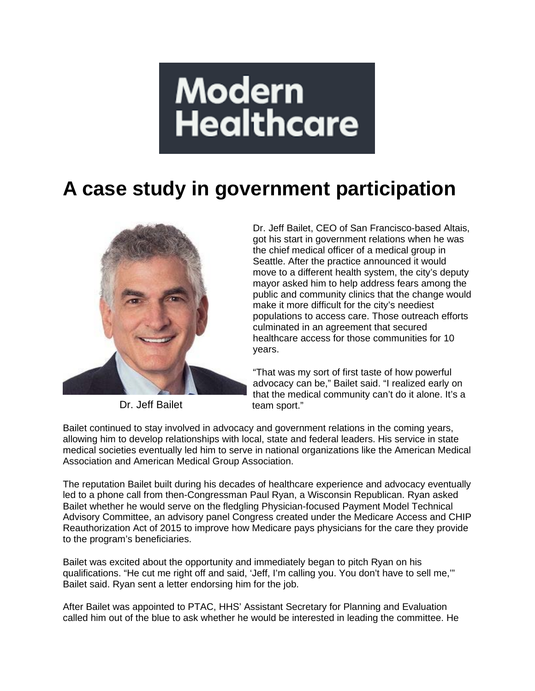## **Modern Healthcare**

## **A case study in government participation**



Dr. Jeff Bailet

Dr. Jeff Bailet, CEO of San Francisco-based Altais, got his start in government relations when he was the chief medical officer of a medical group in Seattle. After the practice announced it would move to a different health system, the city's deputy mayor asked him to help address fears among the public and community clinics that the change would make it more difficult for the city's neediest populations to access care. Those outreach efforts culminated in an agreement that secured healthcare access for those communities for 10 years.

"That was my sort of first taste of how powerful advocacy can be," Bailet said. "I realized early on that the medical community can't do it alone. It's a team sport."

Bailet continued to stay involved in advocacy and government relations in the coming years, allowing him to develop relationships with local, state and federal leaders. His service in state medical societies eventually led him to serve in national organizations like the American Medical Association and American Medical Group Association.

The reputation Bailet built during his decades of healthcare experience and advocacy eventually led to a phone call from then-Congressman Paul Ryan, a Wisconsin Republican. Ryan asked Bailet whether he would serve on the fledgling Physician-focused Payment Model Technical Advisory Committee, an advisory panel Congress created under the Medicare Access and CHIP Reauthorization Act of 2015 to improve how Medicare pays physicians for the care they provide to the program's beneficiaries.

Bailet was excited about the opportunity and immediately began to pitch Ryan on his qualifications. "He cut me right off and said, 'Jeff, I'm calling you. You don't have to sell me,'" Bailet said. Ryan sent a letter endorsing him for the job.

After Bailet was appointed to PTAC, HHS' Assistant Secretary for Planning and Evaluation called him out of the blue to ask whether he would be interested in leading the committee. He